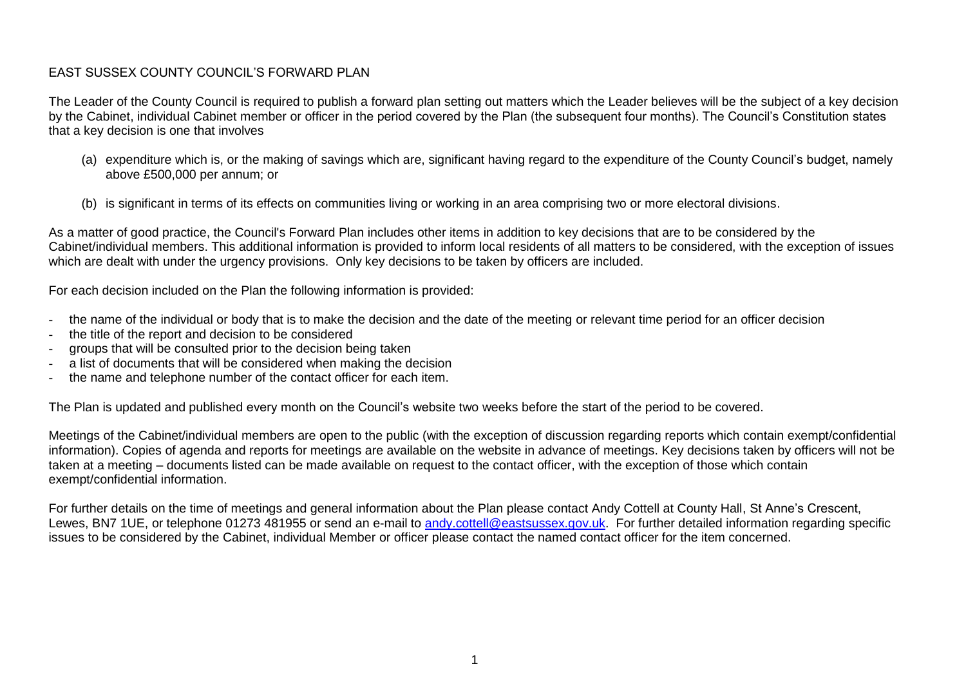## EAST SUSSEX COUNTY COUNCIL'S FORWARD PLAN

The Leader of the County Council is required to publish a forward plan setting out matters which the Leader believes will be the subject of a key decision by the Cabinet, individual Cabinet member or officer in the period covered by the Plan (the subsequent four months). The Council's Constitution states that a key decision is one that involves

- (a) expenditure which is, or the making of savings which are, significant having regard to the expenditure of the County Council's budget, namely above £500,000 per annum; or
- (b) is significant in terms of its effects on communities living or working in an area comprising two or more electoral divisions.

As a matter of good practice, the Council's Forward Plan includes other items in addition to key decisions that are to be considered by the Cabinet/individual members. This additional information is provided to inform local residents of all matters to be considered, with the exception of issues which are dealt with under the urgency provisions. Only key decisions to be taken by officers are included.

For each decision included on the Plan the following information is provided:

- the name of the individual or body that is to make the decision and the date of the meeting or relevant time period for an officer decision
- the title of the report and decision to be considered
- groups that will be consulted prior to the decision being taken
- a list of documents that will be considered when making the decision
- the name and telephone number of the contact officer for each item.

The Plan is updated and published every month on the Council's website two weeks before the start of the period to be covered.

Meetings of the Cabinet/individual members are open to the public (with the exception of discussion regarding reports which contain exempt/confidential information). Copies of agenda and reports for meetings are available on the website in advance of meetings. Key decisions taken by officers will not be taken at a meeting – documents listed can be made available on request to the contact officer, with the exception of those which contain exempt/confidential information.

For further details on the time of meetings and general information about the Plan please contact Andy Cottell at County Hall, St Anne's Crescent, Lewes, BN7 1UE, or telephone 01273 481955 or send an e-mail to [andy.cottell@eastsussex.gov.uk.](mailto:andy.cottell@eastsussexcc.gov.uk) For further detailed information regarding specific issues to be considered by the Cabinet, individual Member or officer please contact the named contact officer for the item concerned.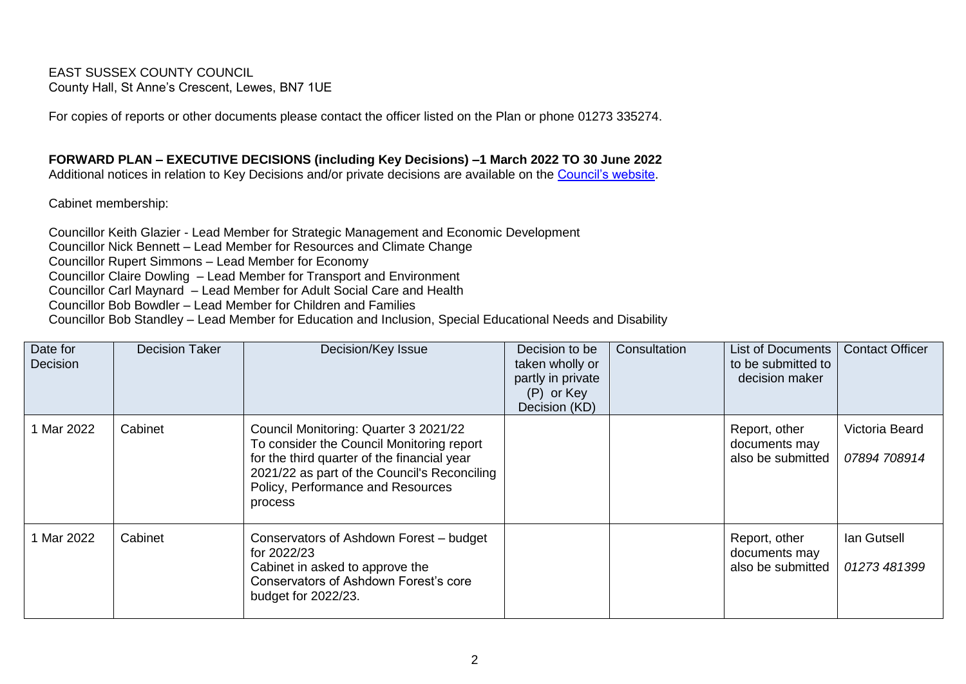EAST SUSSEX COUNTY COUNCIL County Hall, St Anne's Crescent, Lewes, BN7 1UE

For copies of reports or other documents please contact the officer listed on the Plan or phone 01273 335274.

**FORWARD PLAN – EXECUTIVE DECISIONS (including Key Decisions) –1 March 2022 TO 30 June 2022**

Additional notices in relation to Key Decisions and/or private decisions are available on the [Council's website.](https://democracy.eastsussex.gov.uk/mgPlansHome.aspx?bcr=1)

Cabinet membership:

Councillor Keith Glazier - Lead Member for Strategic Management and Economic Development Councillor Nick Bennett – Lead Member for Resources and Climate Change Councillor Rupert Simmons – Lead Member for Economy Councillor Claire Dowling – Lead Member for Transport and Environment Councillor Carl Maynard – Lead Member for Adult Social Care and Health Councillor Bob Bowdler – Lead Member for Children and Families Councillor Bob Standley – Lead Member for Education and Inclusion, Special Educational Needs and Disability

| Date for<br>Decision | <b>Decision Taker</b> | Decision/Key Issue                                                                                                                                                                                                                | Decision to be<br>taken wholly or<br>partly in private<br>(P) or Key<br>Decision (KD) | Consultation | List of Documents<br>to be submitted to<br>decision maker | <b>Contact Officer</b>         |
|----------------------|-----------------------|-----------------------------------------------------------------------------------------------------------------------------------------------------------------------------------------------------------------------------------|---------------------------------------------------------------------------------------|--------------|-----------------------------------------------------------|--------------------------------|
| Mar 2022             | Cabinet               | Council Monitoring: Quarter 3 2021/22<br>To consider the Council Monitoring report<br>for the third quarter of the financial year<br>2021/22 as part of the Council's Reconciling<br>Policy, Performance and Resources<br>process |                                                                                       |              | Report, other<br>documents may<br>also be submitted       | Victoria Beard<br>07894 708914 |
| Mar 2022             | Cabinet               | Conservators of Ashdown Forest - budget<br>for 2022/23<br>Cabinet in asked to approve the<br>Conservators of Ashdown Forest's core<br>budget for 2022/23.                                                                         |                                                                                       |              | Report, other<br>documents may<br>also be submitted       | lan Gutsell<br>01273 481399    |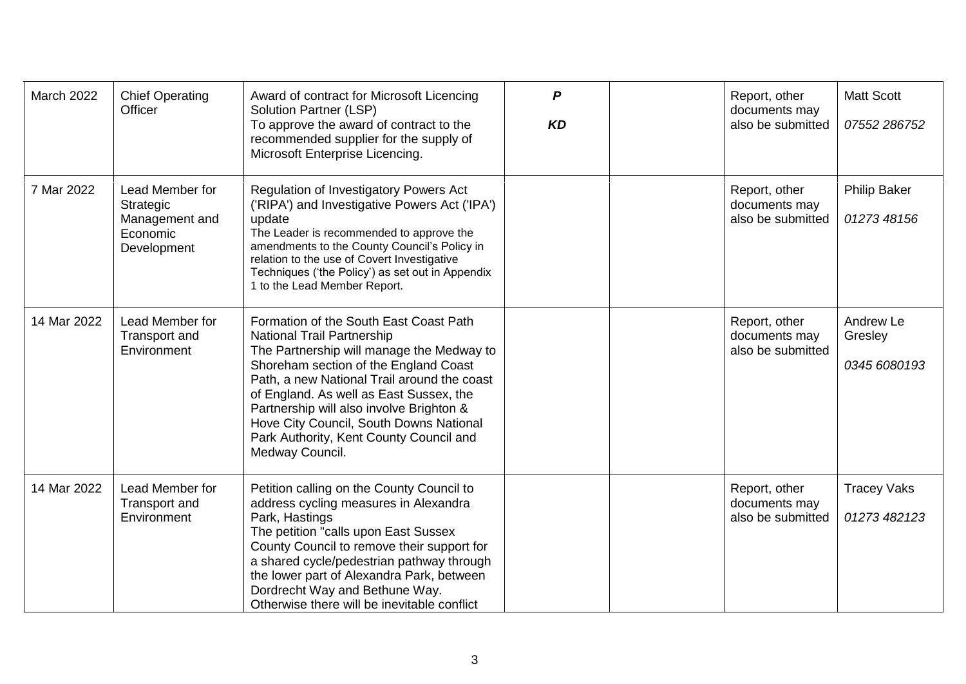| March 2022  | <b>Chief Operating</b><br>Officer                                         | Award of contract for Microsoft Licencing<br><b>Solution Partner (LSP)</b><br>To approve the award of contract to the<br>recommended supplier for the supply of<br>Microsoft Enterprise Licencing.                                                                                                                                                                                                        | $\boldsymbol{P}$<br><b>KD</b> | Report, other<br>documents may<br>also be submitted | <b>Matt Scott</b><br>07552 286752    |
|-------------|---------------------------------------------------------------------------|-----------------------------------------------------------------------------------------------------------------------------------------------------------------------------------------------------------------------------------------------------------------------------------------------------------------------------------------------------------------------------------------------------------|-------------------------------|-----------------------------------------------------|--------------------------------------|
| 7 Mar 2022  | Lead Member for<br>Strategic<br>Management and<br>Economic<br>Development | Regulation of Investigatory Powers Act<br>('RIPA') and Investigative Powers Act ('IPA')<br>update<br>The Leader is recommended to approve the<br>amendments to the County Council's Policy in<br>relation to the use of Covert Investigative<br>Techniques ('the Policy') as set out in Appendix<br>1 to the Lead Member Report.                                                                          |                               | Report, other<br>documents may<br>also be submitted | Philip Baker<br>01273 48156          |
| 14 Mar 2022 | Lead Member for<br>Transport and<br>Environment                           | Formation of the South East Coast Path<br>National Trail Partnership<br>The Partnership will manage the Medway to<br>Shoreham section of the England Coast<br>Path, a new National Trail around the coast<br>of England. As well as East Sussex, the<br>Partnership will also involve Brighton &<br>Hove City Council, South Downs National<br>Park Authority, Kent County Council and<br>Medway Council. |                               | Report, other<br>documents may<br>also be submitted | Andrew Le<br>Gresley<br>0345 6080193 |
| 14 Mar 2022 | Lead Member for<br>Transport and<br>Environment                           | Petition calling on the County Council to<br>address cycling measures in Alexandra<br>Park, Hastings<br>The petition "calls upon East Sussex<br>County Council to remove their support for<br>a shared cycle/pedestrian pathway through<br>the lower part of Alexandra Park, between<br>Dordrecht Way and Bethune Way.<br>Otherwise there will be inevitable conflict                                     |                               | Report, other<br>documents may<br>also be submitted | <b>Tracey Vaks</b><br>01273 482 123  |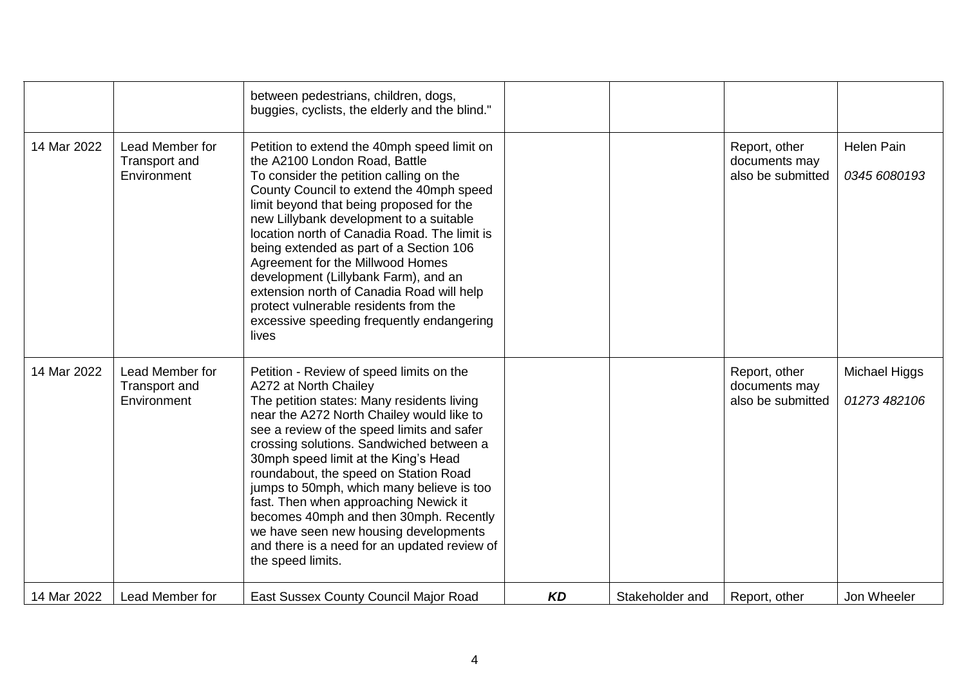|             |                                                 | between pedestrians, children, dogs,<br>buggies, cyclists, the elderly and the blind."                                                                                                                                                                                                                                                                                                                                                                                                                                                                                                |           |                 |                                                     |                                      |
|-------------|-------------------------------------------------|---------------------------------------------------------------------------------------------------------------------------------------------------------------------------------------------------------------------------------------------------------------------------------------------------------------------------------------------------------------------------------------------------------------------------------------------------------------------------------------------------------------------------------------------------------------------------------------|-----------|-----------------|-----------------------------------------------------|--------------------------------------|
| 14 Mar 2022 | Lead Member for<br>Transport and<br>Environment | Petition to extend the 40mph speed limit on<br>the A2100 London Road, Battle<br>To consider the petition calling on the<br>County Council to extend the 40mph speed<br>limit beyond that being proposed for the<br>new Lillybank development to a suitable<br>location north of Canadia Road. The limit is<br>being extended as part of a Section 106<br>Agreement for the Millwood Homes<br>development (Lillybank Farm), and an<br>extension north of Canadia Road will help<br>protect vulnerable residents from the<br>excessive speeding frequently endangering<br>lives         |           |                 | Report, other<br>documents may<br>also be submitted | <b>Helen Pain</b><br>0345 6080193    |
| 14 Mar 2022 | Lead Member for<br>Transport and<br>Environment | Petition - Review of speed limits on the<br>A272 at North Chailey<br>The petition states: Many residents living<br>near the A272 North Chailey would like to<br>see a review of the speed limits and safer<br>crossing solutions. Sandwiched between a<br>30mph speed limit at the King's Head<br>roundabout, the speed on Station Road<br>jumps to 50mph, which many believe is too<br>fast. Then when approaching Newick it<br>becomes 40mph and then 30mph. Recently<br>we have seen new housing developments<br>and there is a need for an updated review of<br>the speed limits. |           |                 | Report, other<br>documents may<br>also be submitted | <b>Michael Higgs</b><br>01273 482106 |
| 14 Mar 2022 | Lead Member for                                 | East Sussex County Council Major Road                                                                                                                                                                                                                                                                                                                                                                                                                                                                                                                                                 | <b>KD</b> | Stakeholder and | Report, other                                       | Jon Wheeler                          |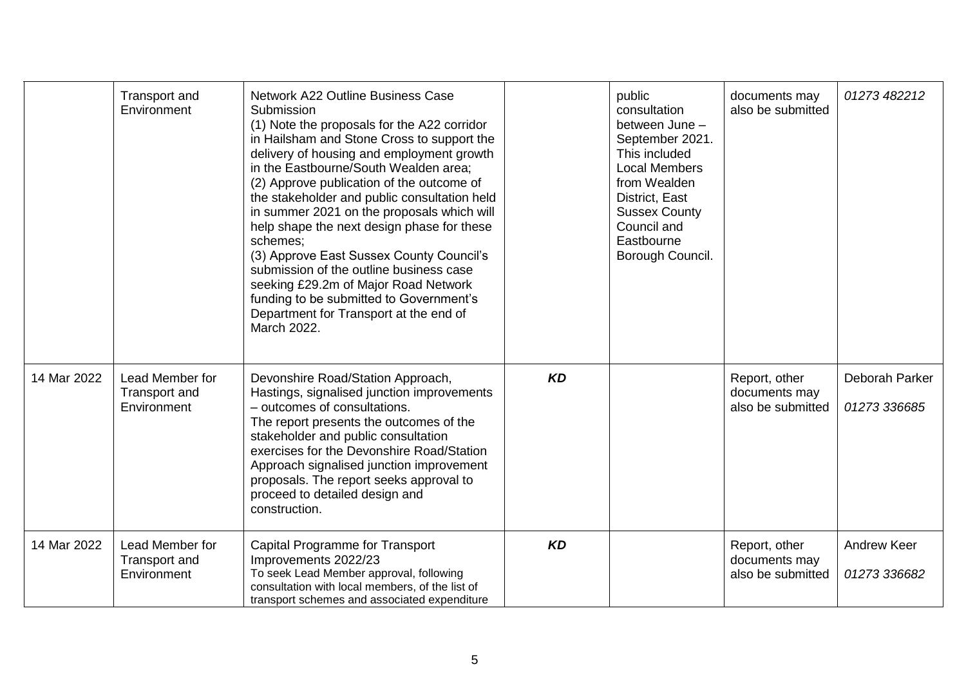|             | Transport and<br>Environment                    | <b>Network A22 Outline Business Case</b><br>Submission<br>(1) Note the proposals for the A22 corridor<br>in Hailsham and Stone Cross to support the<br>delivery of housing and employment growth<br>in the Eastbourne/South Wealden area;<br>(2) Approve publication of the outcome of<br>the stakeholder and public consultation held<br>in summer 2021 on the proposals which will<br>help shape the next design phase for these<br>schemes;<br>(3) Approve East Sussex County Council's<br>submission of the outline business case<br>seeking £29.2m of Major Road Network<br>funding to be submitted to Government's<br>Department for Transport at the end of<br>March 2022. |           | public<br>consultation<br>between June -<br>September 2021.<br>This included<br><b>Local Members</b><br>from Wealden<br>District, East<br><b>Sussex County</b><br>Council and<br>Eastbourne<br>Borough Council. | documents may<br>also be submitted                  | 01273 482212                   |
|-------------|-------------------------------------------------|-----------------------------------------------------------------------------------------------------------------------------------------------------------------------------------------------------------------------------------------------------------------------------------------------------------------------------------------------------------------------------------------------------------------------------------------------------------------------------------------------------------------------------------------------------------------------------------------------------------------------------------------------------------------------------------|-----------|-----------------------------------------------------------------------------------------------------------------------------------------------------------------------------------------------------------------|-----------------------------------------------------|--------------------------------|
| 14 Mar 2022 | Lead Member for<br>Transport and<br>Environment | Devonshire Road/Station Approach,<br>Hastings, signalised junction improvements<br>- outcomes of consultations.<br>The report presents the outcomes of the<br>stakeholder and public consultation<br>exercises for the Devonshire Road/Station<br>Approach signalised junction improvement<br>proposals. The report seeks approval to<br>proceed to detailed design and<br>construction.                                                                                                                                                                                                                                                                                          | <b>KD</b> |                                                                                                                                                                                                                 | Report, other<br>documents may<br>also be submitted | Deborah Parker<br>01273 336685 |
| 14 Mar 2022 | Lead Member for<br>Transport and<br>Environment | <b>Capital Programme for Transport</b><br>Improvements 2022/23<br>To seek Lead Member approval, following<br>consultation with local members, of the list of<br>transport schemes and associated expenditure                                                                                                                                                                                                                                                                                                                                                                                                                                                                      | <b>KD</b> |                                                                                                                                                                                                                 | Report, other<br>documents may<br>also be submitted | Andrew Keer<br>01273 336682    |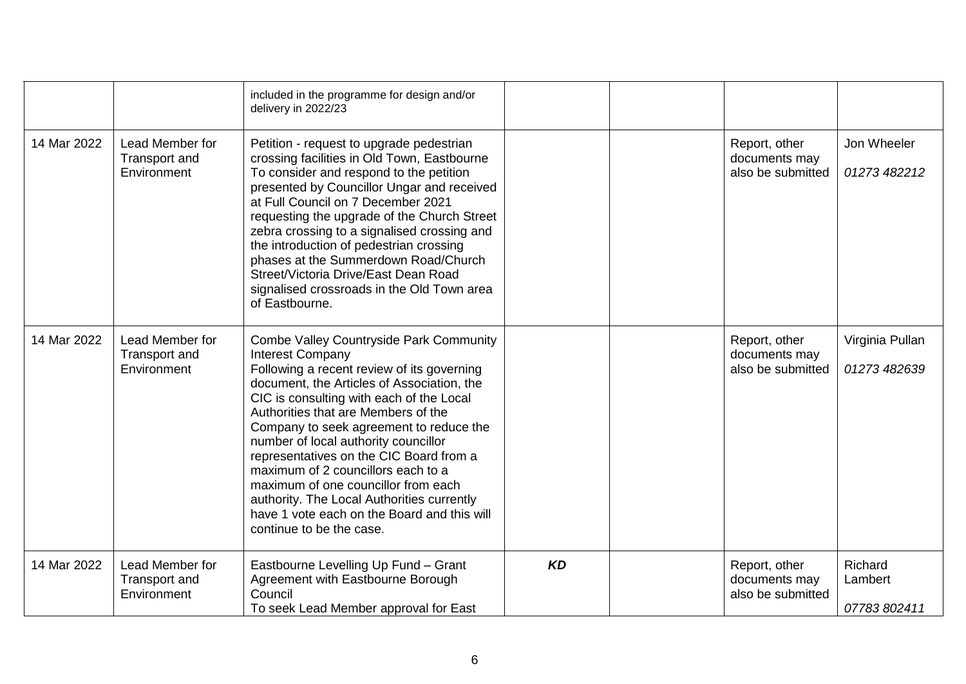|             |                                                 | included in the programme for design and/or<br>delivery in 2022/23                                                                                                                                                                                                                                                                                                                                                                                                                                                                                                                    |           |                                                     |                                    |
|-------------|-------------------------------------------------|---------------------------------------------------------------------------------------------------------------------------------------------------------------------------------------------------------------------------------------------------------------------------------------------------------------------------------------------------------------------------------------------------------------------------------------------------------------------------------------------------------------------------------------------------------------------------------------|-----------|-----------------------------------------------------|------------------------------------|
| 14 Mar 2022 | Lead Member for<br>Transport and<br>Environment | Petition - request to upgrade pedestrian<br>crossing facilities in Old Town, Eastbourne<br>To consider and respond to the petition<br>presented by Councillor Ungar and received<br>at Full Council on 7 December 2021<br>requesting the upgrade of the Church Street<br>zebra crossing to a signalised crossing and<br>the introduction of pedestrian crossing<br>phases at the Summerdown Road/Church<br>Street/Victoria Drive/East Dean Road<br>signalised crossroads in the Old Town area<br>of Eastbourne.                                                                       |           | Report, other<br>documents may<br>also be submitted | Jon Wheeler<br>01273 482212        |
| 14 Mar 2022 | Lead Member for<br>Transport and<br>Environment | <b>Combe Valley Countryside Park Community</b><br>Interest Company<br>Following a recent review of its governing<br>document, the Articles of Association, the<br>CIC is consulting with each of the Local<br>Authorities that are Members of the<br>Company to seek agreement to reduce the<br>number of local authority councillor<br>representatives on the CIC Board from a<br>maximum of 2 councillors each to a<br>maximum of one councillor from each<br>authority. The Local Authorities currently<br>have 1 vote each on the Board and this will<br>continue to be the case. |           | Report, other<br>documents may<br>also be submitted | Virginia Pullan<br>01273 482639    |
| 14 Mar 2022 | Lead Member for<br>Transport and<br>Environment | Eastbourne Levelling Up Fund - Grant<br>Agreement with Eastbourne Borough<br>Council<br>To seek Lead Member approval for East                                                                                                                                                                                                                                                                                                                                                                                                                                                         | <b>KD</b> | Report, other<br>documents may<br>also be submitted | Richard<br>Lambert<br>07783 802411 |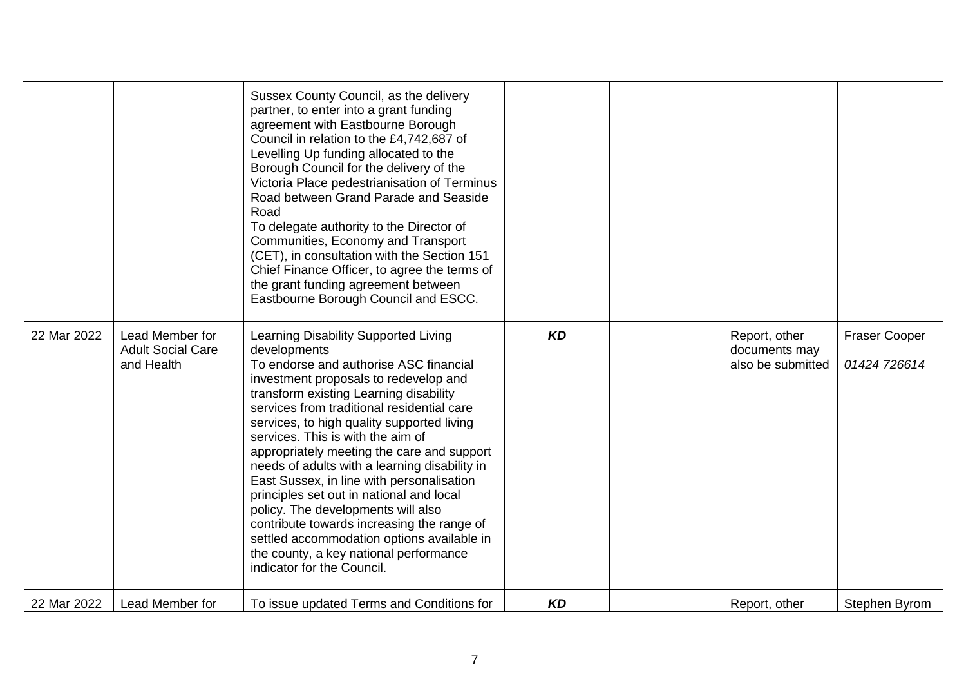|             |                                                           | Sussex County Council, as the delivery<br>partner, to enter into a grant funding<br>agreement with Eastbourne Borough<br>Council in relation to the £4,742,687 of<br>Levelling Up funding allocated to the<br>Borough Council for the delivery of the<br>Victoria Place pedestrianisation of Terminus<br>Road between Grand Parade and Seaside<br>Road<br>To delegate authority to the Director of<br>Communities, Economy and Transport<br>(CET), in consultation with the Section 151<br>Chief Finance Officer, to agree the terms of<br>the grant funding agreement between<br>Eastbourne Borough Council and ESCC.                                                                                               |           |                                                     |                                      |
|-------------|-----------------------------------------------------------|----------------------------------------------------------------------------------------------------------------------------------------------------------------------------------------------------------------------------------------------------------------------------------------------------------------------------------------------------------------------------------------------------------------------------------------------------------------------------------------------------------------------------------------------------------------------------------------------------------------------------------------------------------------------------------------------------------------------|-----------|-----------------------------------------------------|--------------------------------------|
| 22 Mar 2022 | Lead Member for<br><b>Adult Social Care</b><br>and Health | Learning Disability Supported Living<br>developments<br>To endorse and authorise ASC financial<br>investment proposals to redevelop and<br>transform existing Learning disability<br>services from traditional residential care<br>services, to high quality supported living<br>services. This is with the aim of<br>appropriately meeting the care and support<br>needs of adults with a learning disability in<br>East Sussex, in line with personalisation<br>principles set out in national and local<br>policy. The developments will also<br>contribute towards increasing the range of<br>settled accommodation options available in<br>the county, a key national performance<br>indicator for the Council. | <b>KD</b> | Report, other<br>documents may<br>also be submitted | <b>Fraser Cooper</b><br>01424 726614 |
| 22 Mar 2022 | Lead Member for                                           | To issue updated Terms and Conditions for                                                                                                                                                                                                                                                                                                                                                                                                                                                                                                                                                                                                                                                                            | <b>KD</b> | Report, other                                       | Stephen Byrom                        |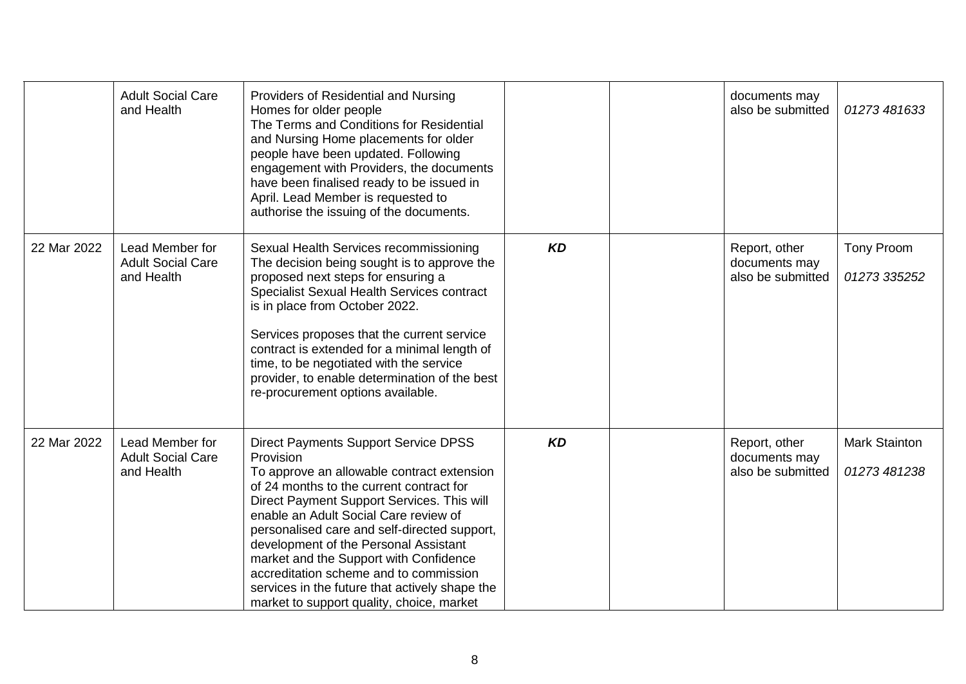|             | <b>Adult Social Care</b><br>and Health                    | Providers of Residential and Nursing<br>Homes for older people<br>The Terms and Conditions for Residential<br>and Nursing Home placements for older<br>people have been updated. Following<br>engagement with Providers, the documents<br>have been finalised ready to be issued in<br>April. Lead Member is requested to<br>authorise the issuing of the documents.                                                                                                                                                  |           | documents may<br>also be submitted                  | 01273 481633                         |
|-------------|-----------------------------------------------------------|-----------------------------------------------------------------------------------------------------------------------------------------------------------------------------------------------------------------------------------------------------------------------------------------------------------------------------------------------------------------------------------------------------------------------------------------------------------------------------------------------------------------------|-----------|-----------------------------------------------------|--------------------------------------|
| 22 Mar 2022 | Lead Member for<br><b>Adult Social Care</b><br>and Health | Sexual Health Services recommissioning<br>The decision being sought is to approve the<br>proposed next steps for ensuring a<br>Specialist Sexual Health Services contract<br>is in place from October 2022.<br>Services proposes that the current service<br>contract is extended for a minimal length of<br>time, to be negotiated with the service<br>provider, to enable determination of the best<br>re-procurement options available.                                                                            | <b>KD</b> | Report, other<br>documents may<br>also be submitted | Tony Proom<br>01273 335252           |
| 22 Mar 2022 | Lead Member for<br><b>Adult Social Care</b><br>and Health | <b>Direct Payments Support Service DPSS</b><br>Provision<br>To approve an allowable contract extension<br>of 24 months to the current contract for<br>Direct Payment Support Services. This will<br>enable an Adult Social Care review of<br>personalised care and self-directed support,<br>development of the Personal Assistant<br>market and the Support with Confidence<br>accreditation scheme and to commission<br>services in the future that actively shape the<br>market to support quality, choice, market | <b>KD</b> | Report, other<br>documents may<br>also be submitted | <b>Mark Stainton</b><br>01273 481238 |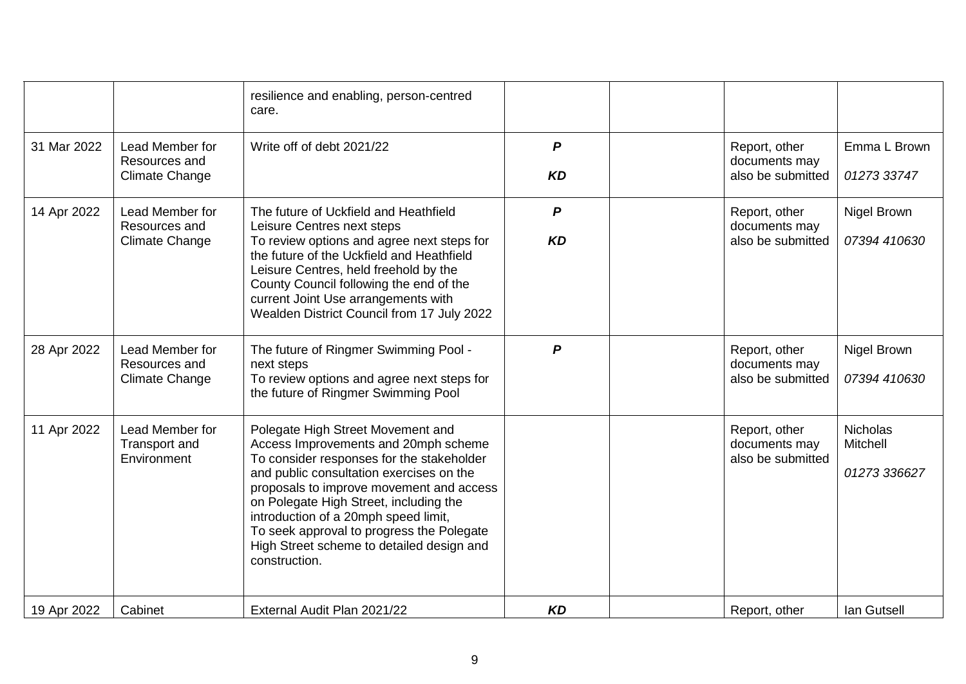|             |                                                           | resilience and enabling, person-centred<br>care.                                                                                                                                                                                                                                                                                                                                                            |                               |                                                     |                                             |
|-------------|-----------------------------------------------------------|-------------------------------------------------------------------------------------------------------------------------------------------------------------------------------------------------------------------------------------------------------------------------------------------------------------------------------------------------------------------------------------------------------------|-------------------------------|-----------------------------------------------------|---------------------------------------------|
| 31 Mar 2022 | Lead Member for<br>Resources and<br>Climate Change        | Write off of debt 2021/22                                                                                                                                                                                                                                                                                                                                                                                   | $\boldsymbol{P}$<br><b>KD</b> | Report, other<br>documents may<br>also be submitted | Emma L Brown<br>01273 33747                 |
| 14 Apr 2022 | Lead Member for<br>Resources and<br><b>Climate Change</b> | The future of Uckfield and Heathfield<br>Leisure Centres next steps<br>To review options and agree next steps for<br>the future of the Uckfield and Heathfield<br>Leisure Centres, held freehold by the<br>County Council following the end of the<br>current Joint Use arrangements with<br>Wealden District Council from 17 July 2022                                                                     | $\boldsymbol{P}$<br><b>KD</b> | Report, other<br>documents may<br>also be submitted | Nigel Brown<br>07394 410630                 |
| 28 Apr 2022 | Lead Member for<br>Resources and<br><b>Climate Change</b> | The future of Ringmer Swimming Pool -<br>next steps<br>To review options and agree next steps for<br>the future of Ringmer Swimming Pool                                                                                                                                                                                                                                                                    | $\boldsymbol{P}$              | Report, other<br>documents may<br>also be submitted | Nigel Brown<br>07394 410630                 |
| 11 Apr 2022 | Lead Member for<br>Transport and<br>Environment           | Polegate High Street Movement and<br>Access Improvements and 20mph scheme<br>To consider responses for the stakeholder<br>and public consultation exercises on the<br>proposals to improve movement and access<br>on Polegate High Street, including the<br>introduction of a 20mph speed limit,<br>To seek approval to progress the Polegate<br>High Street scheme to detailed design and<br>construction. |                               | Report, other<br>documents may<br>also be submitted | <b>Nicholas</b><br>Mitchell<br>01273 336627 |
| 19 Apr 2022 | Cabinet                                                   | External Audit Plan 2021/22                                                                                                                                                                                                                                                                                                                                                                                 | <b>KD</b>                     | Report, other                                       | lan Gutsell                                 |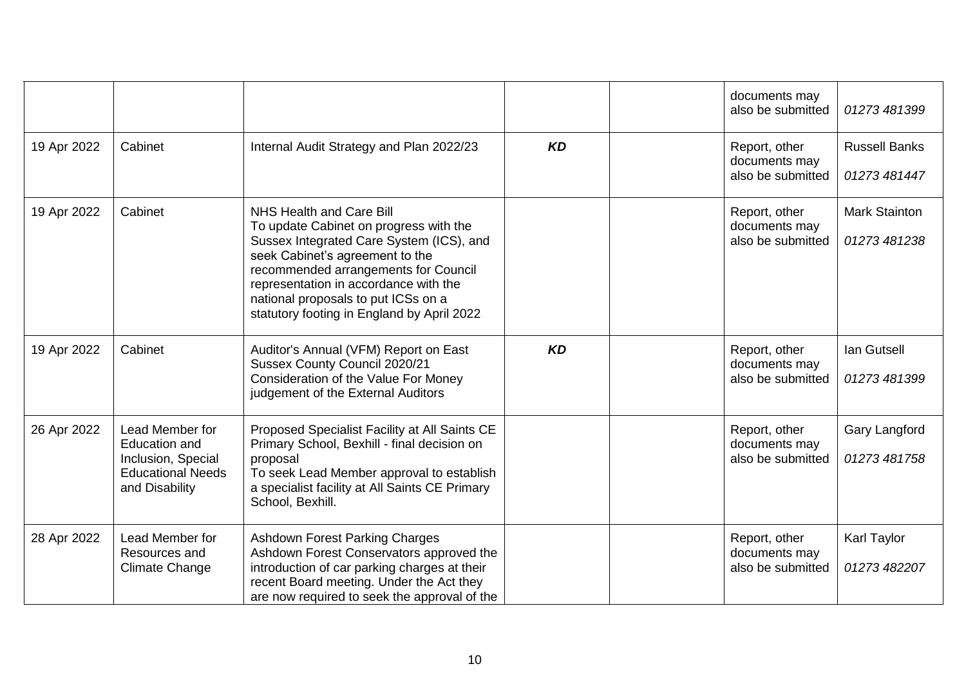|             |                                                                                                             |                                                                                                                                                                                                                                                                                                                         |           | documents may<br>also be submitted                  | 01273 481399                         |
|-------------|-------------------------------------------------------------------------------------------------------------|-------------------------------------------------------------------------------------------------------------------------------------------------------------------------------------------------------------------------------------------------------------------------------------------------------------------------|-----------|-----------------------------------------------------|--------------------------------------|
| 19 Apr 2022 | Cabinet                                                                                                     | Internal Audit Strategy and Plan 2022/23                                                                                                                                                                                                                                                                                | <b>KD</b> | Report, other<br>documents may<br>also be submitted | <b>Russell Banks</b><br>01273 481447 |
| 19 Apr 2022 | Cabinet                                                                                                     | NHS Health and Care Bill<br>To update Cabinet on progress with the<br>Sussex Integrated Care System (ICS), and<br>seek Cabinet's agreement to the<br>recommended arrangements for Council<br>representation in accordance with the<br>national proposals to put ICSs on a<br>statutory footing in England by April 2022 |           | Report, other<br>documents may<br>also be submitted | <b>Mark Stainton</b><br>01273 481238 |
| 19 Apr 2022 | Cabinet                                                                                                     | Auditor's Annual (VFM) Report on East<br>Sussex County Council 2020/21<br>Consideration of the Value For Money<br>judgement of the External Auditors                                                                                                                                                                    | <b>KD</b> | Report, other<br>documents may<br>also be submitted | lan Gutsell<br>01273 481399          |
| 26 Apr 2022 | Lead Member for<br><b>Education and</b><br>Inclusion, Special<br><b>Educational Needs</b><br>and Disability | Proposed Specialist Facility at All Saints CE<br>Primary School, Bexhill - final decision on<br>proposal<br>To seek Lead Member approval to establish<br>a specialist facility at All Saints CE Primary<br>School, Bexhill.                                                                                             |           | Report, other<br>documents may<br>also be submitted | Gary Langford<br>01273 481758        |
| 28 Apr 2022 | Lead Member for<br>Resources and<br><b>Climate Change</b>                                                   | <b>Ashdown Forest Parking Charges</b><br>Ashdown Forest Conservators approved the<br>introduction of car parking charges at their<br>recent Board meeting. Under the Act they<br>are now required to seek the approval of the                                                                                           |           | Report, other<br>documents may<br>also be submitted | Karl Taylor<br>01273 482207          |